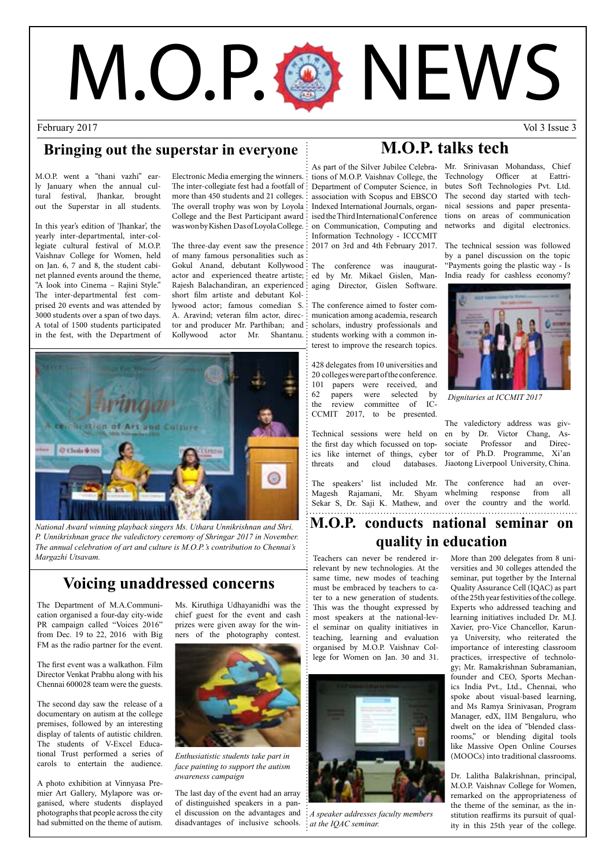# M.O.P. @ NEWS

February 2017 Vol 3 Issue 3

#### **Bringing out the superstar in everyone**

M.O.P. went a "thani vazhi" early January when the annual cultural festival, Jhankar, brought out the Superstar in all students.

In this year's edition of 'Jhankar', the yearly inter-departmental, inter-collegiate cultural festival of M.O.P. Vaishnav College for Women, held on Jan. 6, 7 and 8, the student cabinet planned events around the theme, "A look into Cinema – Rajini Style." The inter-departmental fest comprised 20 events and was attended by 3000 students over a span of two days. A total of 1500 students participated in the fest, with the Department of

Electronic Media emerging the winners. The inter-collegiate fest had a footfall of more than 450 students and 21 colleges. The overall trophy was won by Loyola College and the Best Participant award was won by Kishen Das of Loyola College.

The three-day event saw the presence of many famous personalities such as Gokul Anand, debutant Kollywood actor and experienced theatre artiste; Rajesh Balachandiran, an experienced short film artiste and debutant Kollywood actor; famous comedian S. A. Aravind; veteran film actor, director and producer Mr. Parthiban; and Kollywood actor Mr. Shantanu.



*National Award winning playback singers Ms. Uthara Unnikrishnan and Shri. P. Unnikrishnan grace the valedictory ceremony of Shringar 2017 in November. The annual celebration of art and culture is M.O.P.'s contribution to Chennai's Margazhi Utsavam.*

#### **Voicing unaddressed concerns**

The Department of M.A.Communication organised a four-day city-wide PR campaign called "Voices 2016" from Dec. 19 to 22, 2016 with Big FM as the radio partner for the event.

The first event was a walkathon. Film Director Venkat Prabhu along with his Chennai 600028 team were the guests.

The second day saw the release of a documentary on autism at the college premises, followed by an interesting display of talents of autistic children. The students of V-Excel Educational Trust performed a series of carols to entertain the audience.

A photo exhibition at Vinnyasa Premier Art Gallery, Mylapore was organised, where students displayed photographs that people across the city had submitted on the theme of autism.

Ms. Kiruthiga Udhayanidhi was the chief guest for the event and cash prizes were given away for the winners of the photography contest.



*Enthusiatistic students take part in face painting to support the autism awareness campaign*

The last day of the event had an array of distinguished speakers in a panel discussion on the advantages and disadvantages of inclusive schools.

#### **M.O.P. talks tech**

tions of M.O.P. Vaishnav College, the Technology Officer at Eattri-Department of Computer Science, in association with Scopus and EBSCO Indexed International Journals, organ-nical sessions and paper presenta-Information Technology - ICCCMIT

The conference was inaugurated by Mr. Mikael Gislen, Managing Director, Gislen Software.

The conference aimed to foster communication among academia, research scholars, industry professionals and students working with a common interest to improve the research topics.

428 delegates from 10 universities and 20 colleges were part of the conference. 101 papers were received, and<br>62 papers were selected by papers were selected by the review committee of IC-CCMIT 2017, to be presented.

Technical sessions were held on en by Dr. Victor Chang, Asthe first day which focussed on topics like internet of things, cyber tor of Ph.D. Programme, Xi'an threats and cloud databases. Jiaotong Liverpool University, China.

The speakers' list included Mr. The conference had an over-Magesh Rajamani, Mr. Shyam Sekar S, Dr. Saji K. Mathew, and

As part of the Silver Jubilee Celebra-Mr. Srinivasan Mohandass, Chief ised the Third International Conference tions on areas of communication on Communication, Computing and networks and digital electronics. butes Soft Technologies Pvt. Ltd. The second day started with tech-

2017 on 3rd and 4th February 2017. The technical session was followed by a panel discussion on the topic "Payments going the plastic way - Is India ready for cashless economy?



*Dignitaries at ICCMIT 2017*

The valedictory address was givsociate Professor and Direc-

whelming response from all over the country and the world.

#### **M.O.P. conducts national seminar on quality in education**

Teachers can never be rendered irrelevant by new technologies. At the same time, new modes of teaching must be embraced by teachers to cater to a new generation of students. This was the thought expressed by most speakers at the national-level seminar on quality initiatives in teaching, learning and evaluation organised by M.O.P. Vaishnav College for Women on Jan. 30 and 31.



*A speaker addresses faculty members at the IQAC seminar.*

More than 200 delegates from 8 universities and 30 colleges attended the seminar, put together by the Internal Quality Assurance Cell (IQAC) as part of the 25th year festivities of the college. Experts who addressed teaching and learning initiatives included Dr. M.J. Xavier, pro-Vice Chancellor, Karunya University, who reiterated the importance of interesting classroom practices, irrespective of technology; Mr. Ramakrishnan Subramanian, founder and CEO, Sports Mechanics India Pvt., Ltd., Chennai, who spoke about visual-based learning, and Ms Ramya Srinivasan, Program Manager, edX, IIM Bengaluru, who dwelt on the idea of "blended classrooms," or blending digital tools like Massive Open Online Courses (MOOCs) into traditional classrooms.

Dr. Lalitha Balakrishnan, principal, M.O.P. Vaishnav College for Women, remarked on the appropriateness of the theme of the seminar, as the institution reaffirms its pursuit of quality in this 25th year of the college.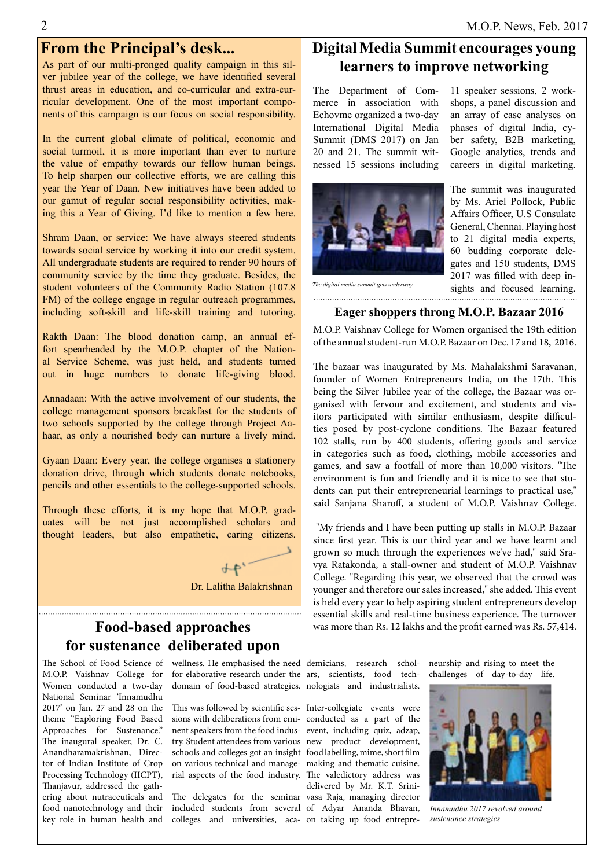As part of our multi-pronged quality campaign in this silver jubilee year of the college, we have identified several thrust areas in education, and co-curricular and extra-curricular development. One of the most important components of this campaign is our focus on social responsibility.

In the current global climate of political, economic and social turmoil, it is more important than ever to nurture the value of empathy towards our fellow human beings. To help sharpen our collective efforts, we are calling this year the Year of Daan. New initiatives have been added to our gamut of regular social responsibility activities, making this a Year of Giving. I'd like to mention a few here.

Shram Daan, or service: We have always steered students towards social service by working it into our credit system. All undergraduate students are required to render 90 hours of community service by the time they graduate. Besides, the student volunteers of the Community Radio Station (107.8 FM) of the college engage in regular outreach programmes, including soft-skill and life-skill training and tutoring.

Rakth Daan: The blood donation camp, an annual effort spearheaded by the M.O.P. chapter of the National Service Scheme, was just held, and students turned out in huge numbers to donate life-giving blood.

Annadaan: With the active involvement of our students, the college management sponsors breakfast for the students of two schools supported by the college through Project Aahaar, as only a nourished body can nurture a lively mind.

Gyaan Daan: Every year, the college organises a stationery donation drive, through which students donate notebooks, pencils and other essentials to the college-supported schools.

Through these efforts, it is my hope that M.O.P. graduates will be not just accomplished scholars and thought leaders, but also empathetic, caring citizens.



#### **Food-based approaches for sustenance deliberated upon**

M.O.P. Vaishnav College for Women conducted a two-day National Seminar 'Innamudhu 2017' on Jan. 27 and 28 on the theme "Exploring Food Based Approaches for Sustenance." The inaugural speaker, Dr. C. Anandharamakrishnan, Director of Indian Institute of Crop Processing Technology (IICPT), Thanjavur, addressed the gathering about nutraceuticals and food nanotechnology and their key role in human health and

The School of Food Science of wellness. He emphasised the need demicians, research schol- neurship and rising to meet the for elaborative research under the ars, scientists, food tech-challenges of day-to-day life.domain of food-based strategies. nologists and industrialists.

> This was followed by scientific ses-Inter-collegiate events were sions with deliberations from emi-conducted as a part of the nent speakers from the food indus-event, including quiz, adzap, try. Student attendees from various new product development, schools and colleges got an insight food labelling, mime, short film on various technical and manage-making and thematic cuisine. rial aspects of the food industry. The valedictory address was

> The delegates for the seminar vasa Raja, managing director included students from several of Adyar Ananda Bhavan,

#### **From the Principal's desk... Digital Media Summit encourages young learners to improve networking**

The Department of Commerce in association with Echovme organized a two-day International Digital Media Summit (DMS 2017) on Jan 20 and 21. The summit witnessed 15 sessions including



11 speaker sessions, 2 workshops, a panel discussion and an array of case analyses on phases of digital India, cyber safety, B2B marketing, Google analytics, trends and careers in digital marketing.

The summit was inaugurated by Ms. Ariel Pollock, Public Affairs Officer, U.S Consulate General, Chennai. Playing host to 21 digital media experts, 60 budding corporate delegates and 150 students, DMS 2017 was filled with deep insights and focused learning. *The digital media summit gets underway*

#### **Eager shoppers throng M.O.P. Bazaar 2016**

M.O.P. Vaishnav College for Women organised the 19th edition of the annual student-run M.O.P. Bazaar on Dec. 17 and 18, 2016.

The bazaar was inaugurated by Ms. Mahalakshmi Saravanan, founder of Women Entrepreneurs India, on the 17th. This being the Silver Jubilee year of the college, the Bazaar was organised with fervour and excitement, and students and visitors participated with similar enthusiasm, despite difficulties posed by post-cyclone conditions. The Bazaar featured 102 stalls, run by 400 students, offering goods and service in categories such as food, clothing, mobile accessories and games, and saw a footfall of more than 10,000 visitors. "The environment is fun and friendly and it is nice to see that students can put their entrepreneurial learnings to practical use," said Sanjana Sharoff, a student of M.O.P. Vaishnav College.

 "My friends and I have been putting up stalls in M.O.P. Bazaar since first year. This is our third year and we have learnt and grown so much through the experiences we've had," said Sravya Ratakonda, a stall-owner and student of M.O.P. Vaishnav College. "Regarding this year, we observed that the crowd was younger and therefore our sales increased," she added. This event is held every year to help aspiring student entrepreneurs develop essential skills and real-time business experience. The turnover was more than Rs. 12 lakhs and the profit earned was Rs. 57,414.

colleges and universities, aca-on taking up food entrepredelivered by Mr. K.T. Srini-



*Innamudhu 2017 revolved around sustenance strategies*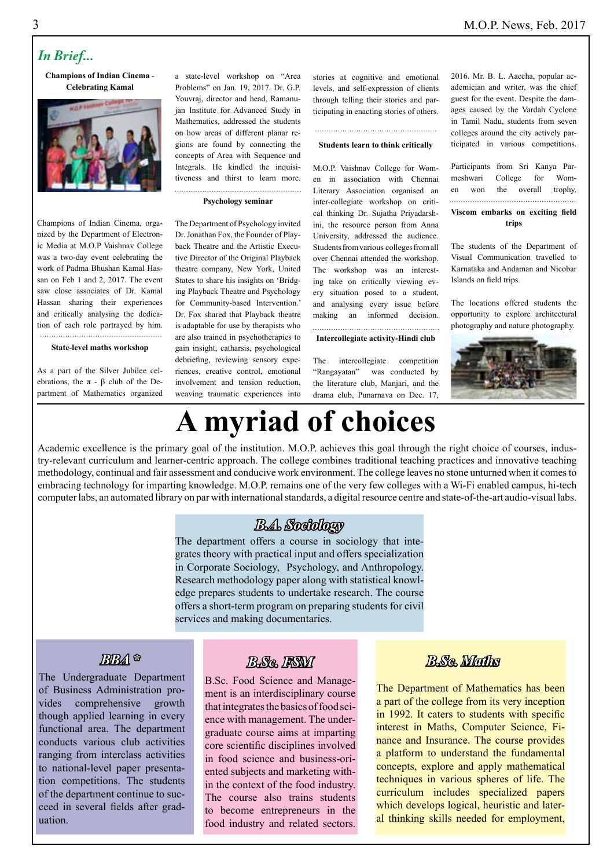#### *In Brief...*

**Champions of Indian Cinema - Celebrating Kamal** 



a state-level workshop on "Area Problems" on Jan. 19, 2017. Dr. G.P. Youvraj, director and head, Ramanujan Institute for Advanced Study in Mathematics, addressed the students on how areas of different planar regions are found by connecting the concepts of Area with Sequence and Integrals. He kindled the inquisitiveness and thirst to learn more.

#### **Psychology seminar**

The Department of Psychology invited Dr. Jonathan Fox, the Founder of Playback Theatre and the Artistic Executive Director of the Original Playback theatre company, New York, United States to share his insights on 'Bridging Playback Theatre and Psychology for Community-based Intervention.' Dr. Fox shared that Playback theatre is adaptable for use by therapists who are also trained in psychotherapies to gain insight, catharsis, psychological debriefing, reviewing sensory experiences, creative control, emotional involvement and tension reduction, weaving traumatic experiences into stories at cognitive and emotional levels, and self-expression of clients through telling their stories and participating in enacting stories of others.

#### **Students learn to think critically**

M.O.P. Vaishnav College for Women in association with Chennai Literary Association organised an inter-collegiate workshop on critical thinking Dr. Sujatha Priyadarshini, the resource person from Anna University, addressed the audience. Students from various colleges from all over Chennai attended the workshop. The workshop was an interesting take on critically viewing every situation posed to a student, and analysing every issue before making an informed decision.

#### **Intercollegiate activity-Hindi club**

The intercollegiate competition "Rangayatan" was conducted by the literature club, Manjari, and the drama club, Punarnava on Dec. 17,

2016. Mr. B. L. Aaccha, popular academician and writer, was the chief guest for the event. Despite the damages caused by the Vardah Cyclone in Tamil Nadu, students from seven colleges around the city actively participated in various competitions.

| .<br>Viscom embarks on exciting field |  |  |  |
|---------------------------------------|--|--|--|
| en won the overall trophy.            |  |  |  |
| meshwari College for Wom-             |  |  |  |
| Participants from Sri Kanya Par-      |  |  |  |

#### **trips**

The students of the Department of Visual Communication travelled to Karnataka and Andaman and Nicobar Islands on field trips.

The locations offered students the opportunity to explore architectural photography and nature photography.



## **A myriad of choices**

Academic excellence is the primary goal of the institution. M.O.P. achieves this goal through the right choice of courses, industry-relevant curriculum and learner-centric approach. The college combines traditional teaching practices and innovative teaching methodology, continual and fair assessment and conducive work environment. The college leaves no stone unturned when it comes to embracing technology for imparting knowledge. M.O.P. remains one of the very few colleges with a Wi-Fi enabled campus, hi-tech computer labs, an automated library on par with international standards, a digital resource centre and state-of-the-art audio-visual labs.

#### *B.A. Sociology*

The department offers a course in sociology that integrates theory with practical input and offers specialization in Corporate Sociology, Psychology, and Anthropology. Research methodology paper along with statistical knowledge prepares students to undertake research. The course offers a short-term program on preparing students for civil services and making documentaries.

#### *BBA \**

The Undergraduate Department of Business Administration provides comprehensive growth though applied learning in every functional area. The department conducts various club activities ranging from interclass activities to national-level paper presentation competitions. The students of the department continue to succeed in several fields after graduation.

#### *B.Sc. FSM*

B.Sc. Food Science and Management is an interdisciplinary course that integrates the basics of food science with management. The undergraduate course aims at imparting core scientific disciplines involved in food science and business-oriented subjects and marketing within the context of the food industry. The course also trains students to become entrepreneurs in the food industry and related sectors.

#### *B.Sc. Maths*

The Department of Mathematics has been a part of the college from its very inception in 1992. It caters to students with specific interest in Maths, Computer Science, Finance and Insurance. The course provides a platform to understand the fundamental concepts, explore and apply mathematical techniques in various spheres of life. The curriculum includes specialized papers which develops logical, heuristic and lateral thinking skills needed for employment,

Champions of Indian Cinema, organized by the Department of Electronic Media at M.O.P Vaishnav College was a two-day event celebrating the work of Padma Bhushan Kamal Hassan on Feb 1 and 2, 2017. The event saw close associates of Dr. Kamal Hassan sharing their experiences and critically analysing the dedication of each role portrayed by him.

#### **State-level maths workshop**

As a part of the Silver Jubilee celebrations, the π - β club of the Department of Mathematics organized